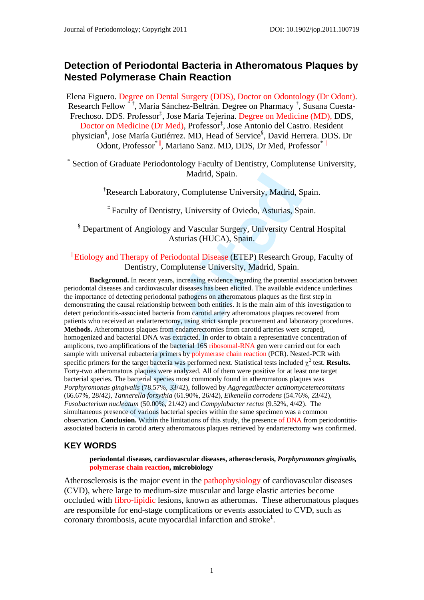# **Detection of Periodontal Bacteria in Atheromatous Plaques by Nested Polymerase Chain Reaction**

Elena Figuero. Degree on Dental Surgery (DDS), Doctor on Odontology (Dr Odont). Research Fellow<sup>\*†</sup>, María Sánchez-Beltrán. Degree on Pharmacy<sup>†</sup>, Susana Cuesta-Frechoso. DDS. Professor<sup>‡</sup>, Jose María Tejerina. Degree on Medicine (MD), DDS, Doctor on Medicine (Dr Med), Professor<sup>‡</sup>, Jose Antonio del Castro. Resident physician<sup>§</sup>, Jose María Gutiérrez. MD, Head of Service<sup>§</sup>, David Herrera. DDS. Dr Odont, Professor<sup>\*</sup> , Mariano Sanz, MD, DDS, Dr Med, Professor<sup>\* ||</sup>

\* Section of Graduate Periodontology Faculty of Dentistry, Complutense University, Madrid, Spain.

† Research Laboratory, Complutense University, Madrid, Spain.

‡ Faculty of Dentistry, University of Oviedo, Asturias, Spain.

§ Department of Angiology and Vascular Surgery, University Central Hospital Asturias (HUCA), Spain.

#### <sup>||</sup> Etiology and Therapy of Periodontal Disease (ETEP) Research Group, Faculty of Dentistry, Complutense University, Madrid, Spain.

Madrid, Spain.<br>
Madrid, Saculty of Dentistry, Complutense University, Madrid, S<br>
culty of Dentistry, University of Oviedo, Asturias, Sp<br>
t of Angiology and Vascular Surgery, University Cen<br>
Asturias (HUCA), Spain.<br>
Therapy **Background.** In recent years, increasing evidence regarding the potential association between periodontal diseases and cardiovascular diseases has been elicited. The available evidence underlines the importance of detecting periodontal pathogens on atheromatous plaques as the first step in demonstrating the causal relationship between both entities. It is the main aim of this investigation to detect periodontitis-associated bacteria from carotid artery atheromatous plaques recovered from patients who received an endarterectomy, using strict sample procurement and laboratory procedures. **Methods.** Atheromatous plaques from endarterectomies from carotid arteries were scraped, homogenized and bacterial DNA was extracted. In order to obtain a representative concentration of amplicons, two amplifications of the bacterial 16S ribosomal-RNA gen were carried out for each sample with universal eubacteria primers by polymerase chain reaction (PCR). Nested-PCR with specific primers for the target bacteria was performed next. Statistical tests included  $\chi^2$  test. **Results.** Forty-two atheromatous plaques were analyzed. All of them were positive for at least one target bacterial species. The bacterial species most commonly found in atheromatous plaques was *Porphyromonas gingivalis* (78.57%, 33/42), followed by *Aggregatibacter actinomycetemcomitans*  (66.67%, 28/42*), Tannerella forsythia* (61.90%, 26/42), *Eikenella corrodens* (54.76%, 23/42), *Fusobacterium nucleatum* (50.00%, 21/42) and *Campylobacter rectus* (9.52%, 4/42). The simultaneous presence of various bacterial species within the same specimen was a common observation. **Conclusion.** Within the limitations of this study, the presence of DNA from periodontitisassociated bacteria in carotid artery atheromatous plaques retrieved by endarterectomy was confirmed.

#### **KEY WORDS**

**periodontal diseases, cardiovascular diseases, atherosclerosis,** *Porphyromonas gingivalis,*  **polymerase chain reaction, microbiology** 

Atherosclerosis is the major event in the pathophysiology of cardiovascular diseases (CVD), where large to medium-size muscular and large elastic arteries become occluded with fibro-lipidic lesions, known as atheromas. These atheromatous plaques are responsible for end-stage complications or events associated to CVD, such as coronary thrombosis, acute myocardial infarction and stroke<sup>1</sup>.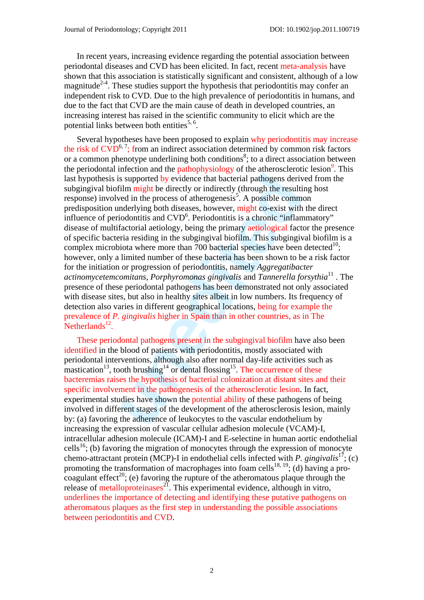In recent years, increasing evidence regarding the potential association between periodontal diseases and CVD has been elicited. In fact, recent meta-analysis have shown that this association is statistically significant and consistent, although of a low magnitude<sup>2-4</sup>. These studies support the hypothesis that periodontitis may confer an independent risk to CVD. Due to the high prevalence of periodontitis in humans, and due to the fact that CVD are the main cause of death in developed countries, an increasing interest has raised in the scientific community to elicit which are the potential links between both entities<sup>5,  $6$ </sup>.

is supported by evidence that bacterial pathogens derived in might be directly or indirectly (through the resultied in the process of atherogenesis<sup>5</sup>. A possible comminal entlying both diseases, however, might co-exist wi Several hypotheses have been proposed to explain why periodontitis may increase the risk of  $CVD^{6,7}$ ; from an indirect association determined by common risk factors or a common phenotype underlining both conditions<sup>8</sup>; to a direct association between the periodontal infection and the pathophysiology of the atherosclerotic lesion<sup>9</sup>. This last hypothesis is supported by evidence that bacterial pathogens derived from the subgingival biofilm might be directly or indirectly (through the resulting host  $r_{\text{ex}}$  response) involved in the process of atherogenesis<sup>5</sup>. A possible common predisposition underlying both diseases, however, might co-exist with the direct influence of periodontitis and CVD<sup>6</sup>. Periodontitis is a chronic "inflammatory" disease of multifactorial aetiology, being the primary aetiological factor the presence of specific bacteria residing in the subgingival biofilm. This subgingival biofilm is a complex microbiota where more than 700 bacterial species have been detected<sup>10</sup>; however, only a limited number of these bacteria has been shown to be a risk factor for the initiation or progression of periodontitis, namely *Aggregatibacter actinomycetemcomitans*, *Porphyromonas gingivalis* and *Tannerella forsythia*<sup>11</sup> . The presence of these periodontal pathogens has been demonstrated not only associated with disease sites, but also in healthy sites albeit in low numbers. Its frequency of detection also varies in different geographical locations, being for example the prevalence of *P. gingivalis* higher in Spain than in other countries, as in The  $Netherlands<sup>12</sup>$ .

These periodontal pathogens present in the subgingival biofilm have also been identified in the blood of patients with periodontitis, mostly associated with periodontal interventions, although also after normal day-life activities such as mastication<sup>13</sup>, tooth brushing<sup>14</sup> or dental flossing<sup>15</sup>. The occurrence of these bacteremias raises the hypothesis of bacterial colonization at distant sites and their specific involvement in the pathogenesis of the atherosclerotic lesion. In fact, experimental studies have shown the potential ability of these pathogens of being involved in different stages of the development of the atherosclerosis lesion, mainly by: (a) favoring the adherence of leukocytes to the vascular endothelium by increasing the expression of vascular cellular adhesion molecule (VCAM)-I, intracellular adhesion molecule (ICAM)-I and E-selectine in human aortic endothelial cells<sup>16</sup>; (b) favoring the migration of monocytes through the expression of monocyte chemo-attractant protein (MCP)-I in endothelial cells infected with *P. gingivalis*<sup>17</sup>; (c) promoting the transformation of macrophages into foam cells<sup>18, 19</sup>; (d) having a procoagulant effect<sup>20</sup>; (e) favoring the rupture of the atheromatous plaque through the release of metalloproteinases<sup>21</sup>. This experimental evidence, although in vitro, underlines the importance of detecting and identifying these putative pathogens on atheromatous plaques as the first step in understanding the possible associations between periodontitis and CVD.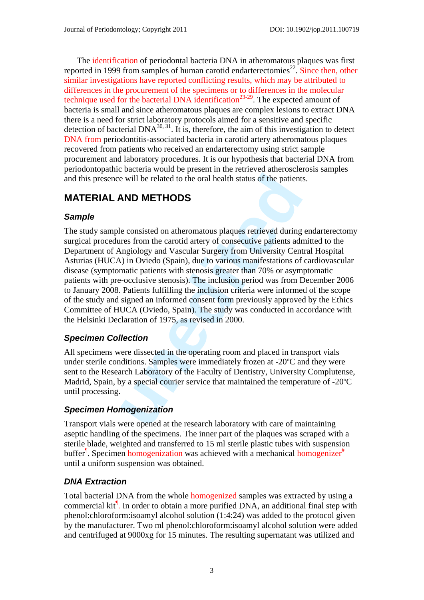The identification of periodontal bacteria DNA in atheromatous plaques was first reported in 1999 from samples of human carotid endarterectomies<sup>22</sup>. Since then, other similar investigations have reported conflicting results, which may be attributed to differences in the procurement of the specimens or to differences in the molecular technique used for the bacterial DNA identification<sup>23-29</sup>. The expected amount of bacteria is small and since atheromatous plaques are complex lesions to extract DNA there is a need for strict laboratory protocols aimed for a sensitive and specific detection of bacterial  $DNA^{30,31}$ . It is, therefore, the aim of this investigation to detect DNA from periodontitis-associated bacteria in carotid artery atheromatous plaques recovered from patients who received an endarterectomy using strict sample procurement and laboratory procedures. It is our hypothesis that bacterial DNA from periodontopathic bacteria would be present in the retrieved atherosclerosis samples and this presence will be related to the oral health status of the patients.

# **MATERIAL AND METHODS**

## *Sample*

e will be related to the oral health status of the patient:<br> **AND METHODS**<br>
e consisted on atheromatous plaques retrieved during<br>
res from the carotid artery of consecutive patients adr<br>
ngiology and Vascular Surgery from The study sample consisted on atheromatous plaques retrieved during endarterectomy surgical procedures from the carotid artery of consecutive patients admitted to the Department of Angiology and Vascular Surgery from University Central Hospital Asturias (HUCA) in Oviedo (Spain), due to various manifestations of cardiovascular disease (symptomatic patients with stenosis greater than 70% or asymptomatic patients with pre-occlusive stenosis). The inclusion period was from December 2006 to January 2008. Patients fulfilling the inclusion criteria were informed of the scope of the study and signed an informed consent form previously approved by the Ethics Committee of HUCA (Oviedo, Spain). The study was conducted in accordance with the Helsinki Declaration of 1975, as revised in 2000.

## *Specimen Collection*

All specimens were dissected in the operating room and placed in transport vials under sterile conditions. Samples were immediately frozen at -20ºC and they were sent to the Research Laboratory of the Faculty of Dentistry, University Complutense, Madrid, Spain, by a special courier service that maintained the temperature of -20ºC until processing.

## *Specimen Homogenization*

Transport vials were opened at the research laboratory with care of maintaining aseptic handling of the specimens. The inner part of the plaques was scraped with a sterile blade, weighted and transferred to 15 ml sterile plastic tubes with suspension buffer<sup>¶</sup>. Specimen homogenization was achieved with a mechanical homogenizer<sup>#</sup> until a uniform suspension was obtained.

# *DNA Extraction*

Total bacterial DNA from the whole homogenized samples was extracted by using a commercial kit<sup>1</sup>. In order to obtain a more purified DNA, an additional final step with phenol:chloroform:isoamyl alcohol solution (1:4:24) was added to the protocol given by the manufacturer. Two ml phenol:chloroform:isoamyl alcohol solution were added and centrifuged at 9000xg for 15 minutes. The resulting supernatant was utilized and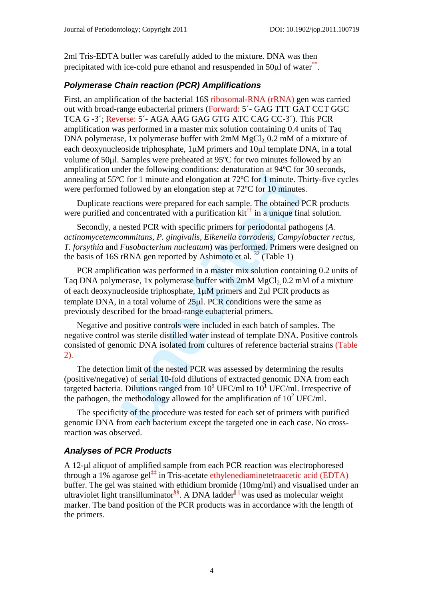2ml Tris-EDTA buffer was carefully added to the mixture. DNA was then precipitated with ice-cold pure ethanol and resuspended in 50μl of water\*\*.

### *Polymerase Chain reaction (PCR) Amplifications*

First, an amplification of the bacterial 16S ribosomal-RNA (rRNA) gen was carried out with broad-range eubacterial primers (Forward: 5´- GAG TTT GAT CCT GGC TCA G -3´; Reverse: 5´- AGA AAG GAG GTG ATC CAG CC-3´). This PCR amplification was performed in a master mix solution containing 0.4 units of Taq DNA polymerase, 1x polymerase buffer with  $2mM MgCl<sub>2</sub> 0.2 mM$  of a mixture of each deoxynucleoside triphosphate, 1μM primers and 10μl template DNA, in a total volume of 50μl. Samples were preheated at 95ºC for two minutes followed by an amplification under the following conditions: denaturation at 94ºC for 30 seconds, annealing at 55ºC for 1 minute and elongation at 72ºC for 1 minute. Thirty-five cycles were performed followed by an elongation step at 72ºC for 10 minutes.

Duplicate reactions were prepared for each sample. The obtained PCR products were purified and concentrated with a purification  $kit^{\dagger}$  in a unique final solution.

Secondly, a nested PCR with specific primers for periodontal pathogens (*A. actinomycetemcommitans, P. gingivalis, Eikenella corrodens, Campylobacter rectus, T. forsythia* and *Fusobacterium nucleatum*) was performed. Primers were designed on the basis of 16S rRNA gen reported by Ashimoto et al.  $32$  (Table 1)

C for 1 minute and elongation at 72°C for 1 minute. T<br>C for 1 minute and elongation at 72°C for 1 minute. T<br>followed by an elongation step at 72°C for 10 minutes<br>actions were prepared for each sample. The obtained d<br>d con PCR amplification was performed in a master mix solution containing 0.2 units of Taq DNA polymerase, 1x polymerase buffer with  $2mM MgCl<sub>2</sub> 0.2$  mM of a mixture of each deoxynucleoside triphosphate, 1μM primers and 2μl PCR products as template DNA, in a total volume of 25μl. PCR conditions were the same as previously described for the broad-range eubacterial primers.

Negative and positive controls were included in each batch of samples. The negative control was sterile distilled water instead of template DNA. Positive controls consisted of genomic DNA isolated from cultures of reference bacterial strains (Table 2).

The detection limit of the nested PCR was assessed by determining the results (positive/negative) of serial 10-fold dilutions of extracted genomic DNA from each targeted bacteria. Dilutions ranged from  $10^9$  UFC/ml to  $10^1$  UFC/ml. Irrespective of the pathogen, the methodology allowed for the amplification of  $10^2$  UFC/ml.

The specificity of the procedure was tested for each set of primers with purified genomic DNA from each bacterium except the targeted one in each case. No crossreaction was observed.

## *Analyses of PCR Products*

A 12-μl aliquot of amplified sample from each PCR reaction was electrophoresed through a 1% agarose gel<sup>‡‡</sup> in Tris-acetate ethylenediaminetetraacetic acid (EDTA) buffer. The gel was stained with ethidium bromide (10mg/ml) and visualised under an ultraviolet light transilluminator<sup>§§</sup>. A DNA ladder<sup>|| ||</sup> was used as molecular weight marker. The band position of the PCR products was in accordance with the length of the primers.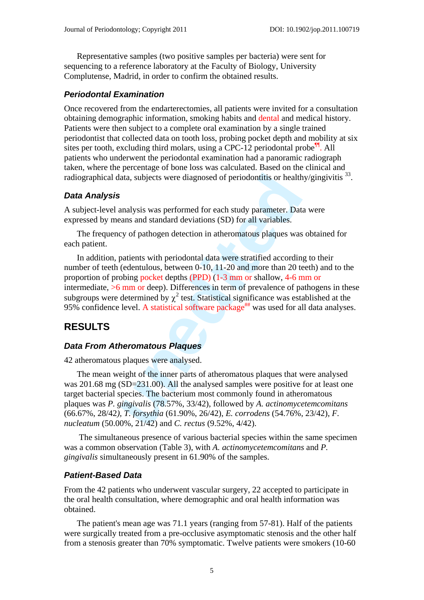Representative samples (two positive samples per bacteria) were sent for sequencing to a reference laboratory at the Faculty of Biology, University Complutense, Madrid, in order to confirm the obtained results.

#### *Periodontal Examination*

Once recovered from the endarterectomies, all patients were invited for a consultation obtaining demographic information, smoking habits and dental and medical history. Patients were then subject to a complete oral examination by a single trained periodontist that collected data on tooth loss, probing pocket depth and mobility at six sites per tooth, excluding third molars, using a CPC-12 periodontal probe  $^{\text{th}}$ . All patients who underwent the periodontal examination had a panoramic radiograph taken, where the percentage of bone loss was calculated. Based on the clinical and radiographical data, subjects were diagnosed of periodontitis or healthy/gingivitis <sup>33</sup>.

#### *Data Analysis*

A subject-level analysis was performed for each study parameter. Data were expressed by means and standard deviations (SD) for all variables.

The frequency of pathogen detection in atheromatous plaques was obtained for each patient.

ata, subjects were diagnosed of periodontitis or health<br>
unalysis was performed for each study parameter. Datans<br>
and standard deviations (SD) for all variables.<br>
by of pathogen detection in atheromatous plaques was<br>
aatie In addition, patients with periodontal data were stratified according to their number of teeth (edentulous, between 0-10, 11-20 and more than 20 teeth) and to the proportion of probing pocket depths (PPD) (1-3 mm or shallow, 4-6 mm or intermediate,  $>6$  mm or deep). Differences in term of prevalence of pathogens in these subgroups were determined by  $\chi^2$  test. Statistical significance was established at the 95% confidence level. A statistical software package<sup>##</sup> was used for all data analyses.

# **RESULTS**

#### *Data From Atheromatous Plaques*

42 atheromatous plaques were analysed.

The mean weight of the inner parts of atheromatous plaques that were analysed was 201.68 mg (SD=231.00). All the analysed samples were positive for at least one target bacterial species. The bacterium most commonly found in atheromatous plaques was *P. gingivalis* (78.57%, 33/42), followed by *A. actinomycetemcomitans*  (66.67%, 28/42*), T. forsythia* (61.90%, 26/42), *E. corrodens* (54.76%, 23/42), *F. nucleatum* (50.00%, 21/42) and *C. rectus* (9.52%, 4/42).

 The simultaneous presence of various bacterial species within the same specimen was a common observation (Table 3), with *A. actinomycetemcomitans* and *P. gingivalis* simultaneously present in 61.90% of the samples.

#### *Patient-Based Data*

From the 42 patients who underwent vascular surgery, 22 accepted to participate in the oral health consultation, where demographic and oral health information was obtained.

The patient's mean age was 71.1 years (ranging from 57-81). Half of the patients were surgically treated from a pre-occlusive asymptomatic stenosis and the other half from a stenosis greater than 70% symptomatic. Twelve patients were smokers (10-60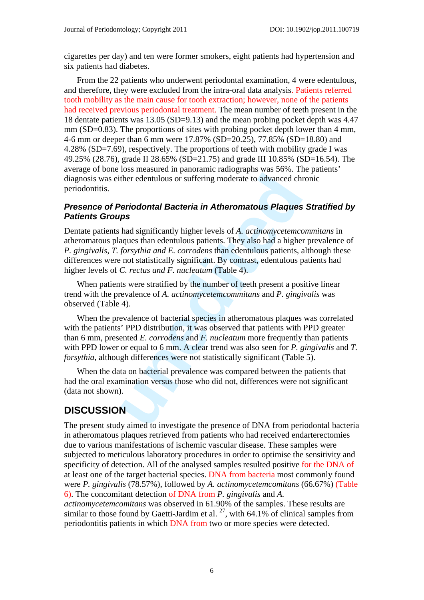cigarettes per day) and ten were former smokers, eight patients had hypertension and six patients had diabetes.

From the 22 patients who underwent periodontal examination, 4 were edentulous, and therefore, they were excluded from the intra-oral data analysis. Patients referred tooth mobility as the main cause for tooth extraction; however, none of the patients had received previous periodontal treatment. The mean number of teeth present in the 18 dentate patients was 13.05 (SD=9.13) and the mean probing pocket depth was 4.47  $mm(SD=0.83)$ . The proportions of sites with probing pocket depth lower than 4 mm, 4-6 mm or deeper than 6 mm were 17.87% (SD=20.25), 77.85% (SD=18.80) and 4.28% (SD=7.69), respectively. The proportions of teeth with mobility grade I was 49.25% (28.76), grade II 28.65% (SD=21.75) and grade III 10.85% (SD=16.54). The average of bone loss measured in panoramic radiographs was 56%. The patients' diagnosis was either edentulous or suffering moderate to advanced chronic periodontitis.

#### *Presence of Periodontal Bacteria in Atheromatous Plaques Stratified by Patients Groups*

Dentate patients had significantly higher levels of *A. actinomycetemcommitans* in atheromatous plaques than edentulous patients. They also had a higher prevalence of *P. gingivalis, T. forsythia and E. corrodens* than edentulous patients, although these differences were not statistically significant. By contrast, edentulous patients had higher levels of *C. rectus and F. nucleatum* (Table 4).

When patients were stratified by the number of teeth present a positive linear trend with the prevalence of *A. actinomycetemcommitans* and *P. gingivalis* was observed (Table 4).

ther edentulous or suffering moderate to advanced characterized conduction *Piaques*<br> **ps**<br> **alsociation in Atheromatous Plaques**<br> **ps**<br> **ps**<br> **alsociation in Atheromatous Plaques**<br> **ps**<br> **alsociation in Atheromato** When the prevalence of bacterial species in atheromatous plaques was correlated with the patients' PPD distribution, it was observed that patients with PPD greater than 6 mm, presented *E. corrodens* and *F. nucleatum* more frequently than patients with PPD lower or equal to 6 mm. A clear trend was also seen for *P. gingivalis* and *T. forsythia, although differences were not statistically significant (Table 5).* 

When the data on bacterial prevalence was compared between the patients that had the oral examination versus those who did not, differences were not significant (data not shown).

# **DISCUSSION**

The present study aimed to investigate the presence of DNA from periodontal bacteria in atheromatous plaques retrieved from patients who had received endarterectomies due to various manifestations of ischemic vascular disease. These samples were subjected to meticulous laboratory procedures in order to optimise the sensitivity and specificity of detection. All of the analysed samples resulted positive for the DNA of at least one of the target bacterial species. DNA from bacteria most commonly found were *P. gingivalis* (78.57%), followed by *A. actinomycetemcomitans* (66.67%) (Table 6). The concomitant detection of DNA from *P. gingivalis* and *A.* 

*actinomycetemcomitans* was observed in 61.90% of the samples. These results are similar to those found by Gaetti-Jardim et al.  $^{27}$ , with 64.1% of clinical samples from periodontitis patients in which DNA from two or more species were detected.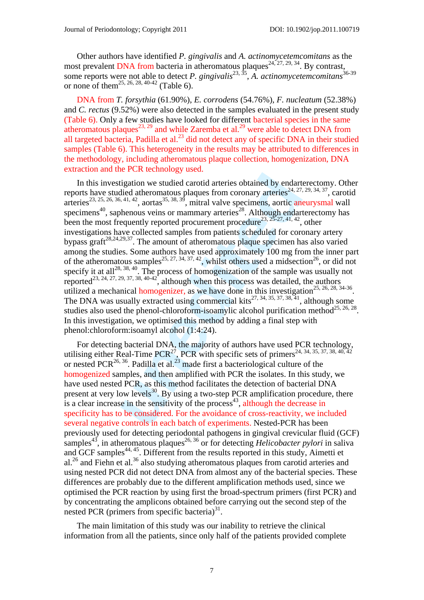Other authors have identified *P. gingivalis* and *A. actinomycetemcomitans* as the most prevalent DNA from bacteria in atheromatous plaques<sup>24, 27, 29, 34</sup>. By contrast, some reports were not able to detect *P. gingivalis*<sup>23, 35</sup>, *A. actinomycetemcomitans*<sup>36-39</sup> or none of them<sup>25, 26, 28, 40-42</sup> (Table 6).

DNA from *T. forsythia* (61.90%), *E. corrodens* (54.76%), *F. nucleatum* (52.38%) and *C. rectus* (9.52%) were also detected in the samples evaluated in the present study (Table 6). Only a few studies have looked for different bacterial species in the same atheromatous plaques<sup>23, 29</sup> and while Zaremba et al.<sup>29</sup> were able to detect DNA from all targeted bacteria, Padilla et al. $^{23}$  did not detect any of specific DNA in their studied samples (Table 6). This heterogeneity in the results may be attributed to differences in the methodology, including atheromatous plaque collection, homogenization, DNA extraction and the PCR technology used.

igation we studied carotid arteries obtained by endartied<br>died atheromatous plaques from coronary arteries<sup>24, 27,<br>4,4,42, aortas<sup>35, 38, 39</sup>, mitral valve specimens, aortic an-<br>henous veins or mammary arteries<sup>28</sup>. Altho</sup> In this investigation we studied carotid arteries obtained by endarterectomy. Other reports have studied atheromatous plaques from coronary arteries<sup>24, 27, 29, 34, 37</sup>, carotid arteries<sup>23, 25, 26, 36, 41, 42</sup>, aortas<sup>35, 38, 39</sup>, mitral valve specimens, aortic aneurysmal wall specimens<sup>40</sup>, saphenous veins or mammary arteries<sup>28</sup>. Although endarterectomy has been the most frequently reported procurement procedure<sup>23, 25-27, 41, 42</sup>, other investigations have collected samples from patients scheduled for coronary artery bypass graft $28,24,29,37$ . The amount of atheromatous plaque specimen has also varied among the studies. Some authors have used approximately 100 mg from the inner part of the atheromatous samples<sup>25, 27, 34, 37, 42</sup>, whilst others used a midsection<sup>26</sup>, or did not specify it at all<sup>28, 38, 40</sup>. The process of homogenization of the sample was usually not reported<sup>23, 24, 27, 29, 37, 38, 40-42</sup>, although when this process was detailed, the authors utilized a mechanical homogenizer, as we have done in this investigation<sup>25, 26, 28, 34-36</sup>. The DNA was usually extracted using commercial kits<sup>27, 34, 35, 37, 38, 41</sup>, although some studies also used the phenol-chloroform-isoamylic alcohol purification method<sup>25, 26, 28</sup>. In this investigation, we optimised this method by adding a final step with phenol:chloroform:isoamyl alcohol (1:4:24).

For detecting bacterial DNA, the majority of authors have used PCR technology, utilising either Real-Time PCR<sup>27</sup>, PCR with specific sets of primers<sup>24, 34, 35, 37, 38, 40, 42</sup> or nested PCR<sup>26, 36</sup>. Padilla et al.<sup>23</sup> made first a bacteriological culture of the homogenized samples, and then amplified with PCR the isolates. In this study, we have used nested PCR, as this method facilitates the detection of bacterial DNA present at very low levels<sup>30</sup>. By using a two-step PCR amplification procedure, there is a clear increase in the sensitivity of the process<sup>43</sup>, although the decrease in specificity has to be considered. For the avoidance of cross-reactivity, we included several negative controls in each batch of experiments. Nested-PCR has been previously used for detecting periodontal pathogens in gingival crevicular fluid (GCF) samples<sup>43</sup>, in atheromatous plaques<sup>26, 36</sup> or for detecting *Helicobacter pylori* in saliva and GCF samples<sup>44, 45</sup>. Different from the results reported in this study, Aimetti et al.<sup>26</sup> and Fiehn et al.<sup>36</sup> also studying atheromatous plaques from carotid arteries and using nested PCR did not detect DNA from almost any of the bacterial species. These differences are probably due to the different amplification methods used, since we optimised the PCR reaction by using first the broad-spectrum primers (first PCR) and by concentrating the amplicons obtained before carrying out the second step of the nested PCR (primers from specific bacteria) $31$ .

The main limitation of this study was our inability to retrieve the clinical information from all the patients, since only half of the patients provided complete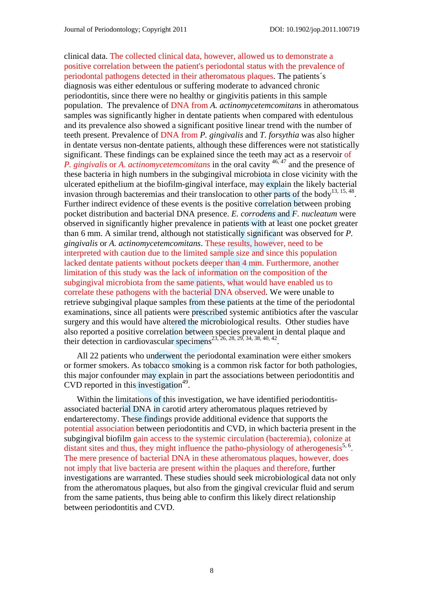high numbers in the subgingival microbiota in close v<br>ium at the biofilm-gingival interface, may explain the<br>bacteremias and their translocation to other parts of<br>bevidence of these events is the positive correlation bet<br> clinical data. The collected clinical data, however, allowed us to demonstrate a positive correlation between the patient's periodontal status with the prevalence of periodontal pathogens detected in their atheromatous plaques. The patients´s diagnosis was either edentulous or suffering moderate to advanced chronic periodontitis, since there were no healthy or gingivitis patients in this sample population. The prevalence of DNA from *A. actinomycetemcomitans* in atheromatous samples was significantly higher in dentate patients when compared with edentulous and its prevalence also showed a significant positive linear trend with the number of teeth present. Prevalence of DNA from *P. gingivalis* and *T. forsythia* was also higher in dentate versus non-dentate patients, although these differences were not statistically significant. These findings can be explained since the teeth may act as a reservoir of *P. gingivalis* or *A. actinomycetemcomitans* in the oral cavity <sup>46, 47</sup> and the presence of these bacteria in high numbers in the subgingival microbiota in close vicinity with the ulcerated epithelium at the biofilm-gingival interface, may explain the likely bacterial invasion through bacteremias and their translocation to other parts of the body<sup>13, 15, 48</sup>. Further indirect evidence of these events is the positive correlation between probing pocket distribution and bacterial DNA presence. *E. corrodens* and *F. nucleatum* were observed in significantly higher prevalence in patients with at least one pocket greater than 6 mm. A similar trend, although not statistically significant was observed for *P. gingivalis* or *A. actinomycetemcomitans*. These results, however, need to be interpreted with caution due to the limited sample size and since this population lacked dentate patients without pockets deeper than 4 mm. Furthermore, another limitation of this study was the lack of information on the composition of the subgingival microbiota from the same patients, what would have enabled us to correlate these pathogens with the bacterial DNA observed. We were unable to retrieve subgingival plaque samples from these patients at the time of the periodontal examinations, since all patients were prescribed systemic antibiotics after the vascular surgery and this would have altered the microbiological results. Other studies have also reported a positive correlation between species prevalent in dental plaque and their detection in cardiovascular specimens<sup>23, 26, 28, 29, 34, 38, 40, 42</sup>.

All 22 patients who underwent the periodontal examination were either smokers or former smokers. As tobacco smoking is a common risk factor for both pathologies, this major confounder may explain in part the associations between periodontitis and CVD reported in this investigation<sup>49</sup>.

Within the limitations of this investigation, we have identified periodontitisassociated bacterial DNA in carotid artery atheromatous plaques retrieved by endarterectomy. These findings provide additional evidence that supports the potential association between periodontitis and CVD, in which bacteria present in the subgingival biofilm gain access to the systemic circulation (bacteremia), colonize at distant sites and thus, they might influence the patho-physiology of atherogenesis<sup>5, 6</sup>. The mere presence of bacterial DNA in these atheromatous plaques, however, does not imply that live bacteria are present within the plaques and therefore, further investigations are warranted. These studies should seek microbiological data not only from the atheromatous plaques, but also from the gingival crevicular fluid and serum from the same patients, thus being able to confirm this likely direct relationship between periodontitis and CVD.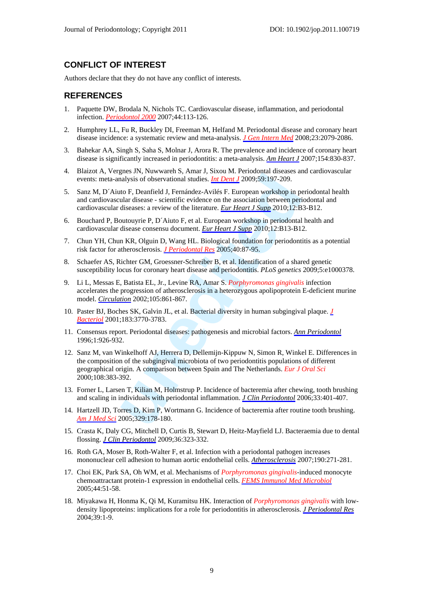#### **CONFLICT OF INTEREST**

Authors declare that they do not have any conflict of interests.

#### **REFERENCES**

- 1. Paquette DW, Brodala N, Nichols TC. Cardiovascular disease, inflammation, and periodontal infection. *Periodontol 2000* 2007;44:113-126.
- 2. Humphrey LL, Fu R, Buckley DI, Freeman M, Helfand M. Periodontal disease and coronary heart disease incidence: a systematic review and meta-analysis. *J Gen Intern Med* 2008;23:2079-2086.
- 3. Bahekar AA, Singh S, Saha S, Molnar J, Arora R. The prevalence and incidence of coronary heart disease is significantly increased in periodontitis: a meta-analysis. *Am Heart J* 2007;154:830-837.
- 4. Blaizot A, Vergnes JN, Nuwwareh S, Amar J, Sixou M. Periodontal diseases and cardiovascular events: meta-analysis of observational studies. *Int Dent J* 2009;59:197-209.
- 5. Sanz M, D´Aiuto F, Deanfield J, Fernández-Avilés F. European workshop in periodontal health and cardiovascular disease - scientific evidence on the association between periodontal and cardiovascular diseases: a review of the literature. *Eur Heart J Supp* 2010;12:B3-B12.
- 6. Bouchard P, Boutouyrie P, D´Aiuto F, et al. European workshop in periodontal health and cardiovascular disease consensu document. *Eur Heart J Supp* 2010;12:B13-B12.
- 7. Chun YH, Chun KR, Olguin D, Wang HL. Biological foundation for periodontitis as a potential risk factor for atherosclerosis. *J Periodontal Res* 2005;40:87-95.
- 8. Schaefer AS, Richter GM, Groessner-Schreiber B, et al. Identification of a shared genetic susceptibility locus for coronary heart disease and periodontitis. *PLoS genetics* 2009;5:e1000378.
- 9. Li L, Messas E, Batista EL, Jr., Levine RA, Amar S. *Porphyromonas gingivalis* infection accelerates the progression of atherosclerosis in a heterozygous apolipoprotein E-deficient murine model. *Circulation* 2002;105:861-867.
- 10. Paster BJ, Boches SK, Galvin JL, et al. Bacterial diversity in human subgingival plaque. *J Bacteriol* 2001;183:3770-3783.
- 11. Consensus report. Periodontal diseases: pathogenesis and microbial factors. *Ann Periodontol* 1996;1:926-932.
- *glaxsis*, *i* Awawater by . Inam s, based *Meta Mexicana Cassacsia*<br>alalysis of observational studies. *Int Dent 1* 2009;59:197-209.<br>to F, Deanfield J, Fernández-Avilés F. European workshop in pelar diseases: a review of 12. Sanz M, van Winkelhoff AJ, Herrera D, Dellemijn-Kippuw N, Simon R, Winkel E. Differences in the composition of the subgingival microbiota of two periodontitis populations of different geographical origin. A comparison between Spain and The Netherlands. *Eur J Oral Sci* 2000;108:383-392.
- 13. Forner L, Larsen T, Kilian M, Holmstrup P. Incidence of bacteremia after chewing, tooth brushing and scaling in individuals with periodontal inflammation. *J Clin Periodontol* 2006;33:401-407.
- 14. Hartzell JD, Torres D, Kim P, Wortmann G. Incidence of bacteremia after routine tooth brushing. *Am J Med Sci* 2005;329:178-180.
- 15. Crasta K, Daly CG, Mitchell D, Curtis B, Stewart D, Heitz-Mayfield LJ. Bacteraemia due to dental flossing. *J Clin Periodontol* 2009;36:323-332.
- 16. Roth GA, Moser B, Roth-Walter F, et al. Infection with a periodontal pathogen increases mononuclear cell adhesion to human aortic endothelial cells. *Atherosclerosis* 2007;190:271-281.
- 17. Choi EK, Park SA, Oh WM, et al. Mechanisms of *Porphyromonas gingivalis*-induced monocyte chemoattractant protein-1 expression in endothelial cells. *FEMS Immunol Med Microbiol* 2005;44:51-58.
- 18. Miyakawa H, Honma K, Qi M, Kuramitsu HK. Interaction of *Porphyromonas gingivalis* with lowdensity lipoproteins: implications for a role for periodontitis in atherosclerosis. *J Periodontal Res*  2004;39:1-9.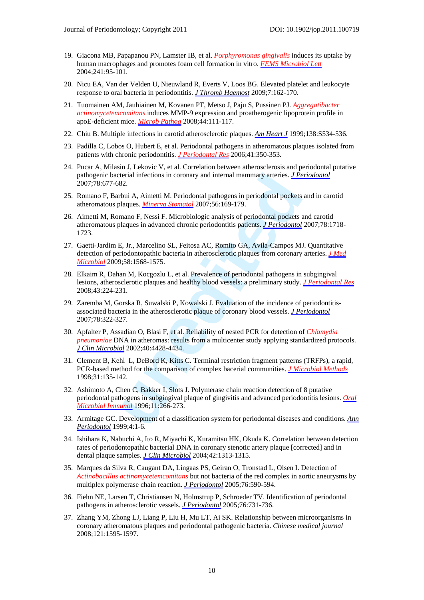- 19. Giacona MB, Papapanou PN, Lamster IB, et al. *Porphyromonas gingivalis* induces its uptake by human macrophages and promotes foam cell formation in vitro. *FEMS Microbiol Lett* 2004;241:95-101.
- 20. Nicu EA, Van der Velden U, Nieuwland R, Everts V, Loos BG. Elevated platelet and leukocyte response to oral bacteria in periodontitis. *J Thromb Haemost* 2009;7:162-170.
- 21. Tuomainen AM, Jauhiainen M, Kovanen PT, Metso J, Paju S, Pussinen PJ. *Aggregatibacter actinomycetemcomitans* induces MMP-9 expression and proatherogenic lipoprotein profile in apoE-deficient mice. *Microb Pathog* 2008;44:111-117.
- 22. Chiu B. Multiple infections in carotid atherosclerotic plaques. *Am Heart J* 1999;138:S534-536.
- 23. Padilla C, Lobos O, Hubert E, et al. Periodontal pathogens in atheromatous plaques isolated from patients with chronic periodontitis. *J Periodontal Res* 2006;41:350-353.
- 24. Pucar A, Milasin J, Lekovic V, et al. Correlation between atherosclerosis and periodontal putative pathogenic bacterial infections in coronary and internal mammary arteries. *J Periodontol* 2007;78:677-682.
- 25. Romano F, Barbui A, Aimetti M. Periodontal pathogens in periodontal pockets and in carotid atheromatous plaques. *Minerva Stomatol* 2007;56:169-179.
- **unedited** 26. Aimetti M, Romano F, Nessi F. Microbiologic analysis of periodontal pockets and carotid atheromatous plaques in advanced chronic periodontitis patients. *J Periodontol* 2007;78:1718- 1723.
- 27. Gaetti-Jardim E, Jr., Marcelino SL, Feitosa AC, Romito GA, Avila-Campos MJ. Quantitative detection of periodontopathic bacteria in atherosclerotic plaques from coronary arteries. *J Med Microbiol* 2009;58:1568-1575.
- 28. Elkaim R, Dahan M, Kocgozlu L, et al. Prevalence of periodontal pathogens in subgingival lesions, atherosclerotic plaques and healthy blood vessels: a preliminary study. *J Periodontal Res* 2008;43:224-231.
- 29. Zaremba M, Gorska R, Suwalski P, Kowalski J. Evaluation of the incidence of periodontitisassociated bacteria in the atherosclerotic plaque of coronary blood vessels. *J Periodontol* 2007;78:322-327.
- 30. Apfalter P, Assadian O, Blasi F, et al. Reliability of nested PCR for detection of *Chlamydia pneumoniae* DNA in atheromas: results from a multicenter study applying standardized protocols. *J Clin Microbiol* 2002;40:4428-4434.
- 31. Clement B, Kehl L, DeBord K, Kitts C. Terminal restriction fragment patterns (TRFPs), a rapid, PCR-based method for the comparison of complex bacerial communities. *J Microbiol Methods* 1998;31:135-142.
- 32. Ashimoto A, Chen C, Bakker I, Slots J. Polymerase chain reaction detection of 8 putative periodontal pathogens in subgingival plaque of gingivitis and advanced periodontitis lesions. *Oral Microbiol Immunol* 1996;11:266-273.
- 33. Armitage GC. Development of a classification system for periodontal diseases and conditions. *Ann Periodontol* 1999;4:1-6.
- 34. Ishihara K, Nabuchi A, Ito R, Miyachi K, Kuramitsu HK, Okuda K. Correlation between detection rates of periodontopathic bacterial DNA in coronary stenotic artery plaque [corrected] and in dental plaque samples. *J Clin Microbiol* 2004;42:1313-1315.
- 35. Marques da Silva R, Caugant DA, Lingaas PS, Geiran O, Tronstad L, Olsen I. Detection of *Actinobacillus actinomycetemcomitans* but not bacteria of the red complex in aortic aneurysms by multiplex polymerase chain reaction. *J Periodontol* 2005;76:590-594.
- 36. Fiehn NE, Larsen T, Christiansen N, Holmstrup P, Schroeder TV. Identification of periodontal pathogens in atherosclerotic vessels. *J Periodontol* 2005;76:731-736.
- 37. Zhang YM, Zhong LJ, Liang P, Liu H, Mu LT, Ai SK. Relationship between microorganisms in coronary atheromatous plaques and periodontal pathogenic bacteria. *Chinese medical journal* 2008;121:1595-1597.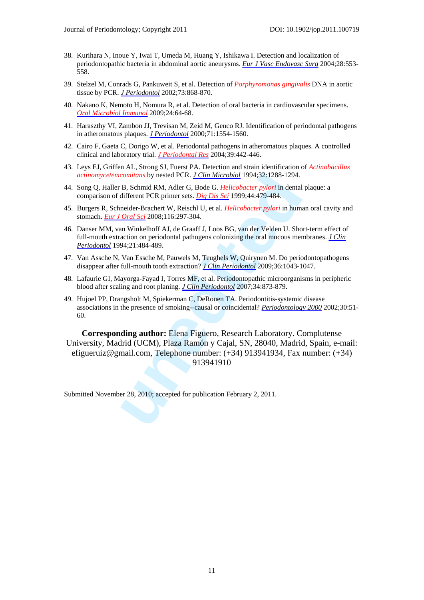- 38. Kurihara N, Inoue Y, Iwai T, Umeda M, Huang Y, Ishikawa I. Detection and localization of periodontopathic bacteria in abdominal aortic aneurysms. *Eur J Vasc Endovasc Surg* 2004;28:553- 558.
- 39. Stelzel M, Conrads G, Pankuweit S, et al. Detection of *Porphyromonas gingivalis* DNA in aortic tissue by PCR. *J Periodontol* 2002;73:868-870.
- 40. Nakano K, Nemoto H, Nomura R, et al. Detection of oral bacteria in cardiovascular specimens. *Oral Microbiol Immunol* 2009;24:64-68.
- 41. Haraszthy VI, Zambon JJ, Trevisan M, Zeid M, Genco RJ. Identification of periodontal pathogens in atheromatous plaques. *J Periodontol* 2000;71:1554-1560.
- 42. Cairo F, Gaeta C, Dorigo W, et al. Periodontal pathogens in atheromatous plaques. A controlled clinical and laboratory trial. *J Periodontal Res* 2004;39:442-446.
- 43. Leys EJ, Griffen AL, Strong SJ, Fuerst PA. Detection and strain identification of *Actinobacillus actinomycetemcomitans* by nested PCR. *J Clin Microbiol* 1994;32:1288-1294.
- 44. Song Q, Haller B, Schmid RM, Adler G, Bode G. *Helicobacter pylori* in dental plaque: a comparison of different PCR primer sets. *Dig Dis Sci* 1999;44:479-484.
- 45. Burgers R, Schneider-Brachert W, Reischl U, et al. *Helicobacter pylori* in human oral cavity and stomach. *Eur J Oral Sci* 2008;116:297-304.
- 46. Danser MM, van Winkelhoff AJ, de Graaff J, Loos BG, van der Velden U. Short-term effect of full-mouth extraction on periodontal pathogens colonizing the oral mucous membranes. *J Clin Periodontol* 1994;21:484-489.
- 47. Van Assche N, Van Essche M, Pauwels M, Teughels W, Quirynen M. Do periodontopathogens disappear after full-mouth tooth extraction? *J Clin Periodontol* 2009;36:1043-1047.
- 48. Lafaurie GI, Mayorga-Fayad I, Torres MF, et al. Periodontopathic microorganisms in peripheric blood after scaling and root planing. *J Clin Periodontol* 2007;34:873-879.
- 49. Hujoel PP, Drangsholt M, Spiekerman C, DeRouen TA. Periodontitis-systemic disease associations in the presence of smoking--causal or coincidental? *Periodontology 2000* 2002;30:51- 60.

comitans by nested PCR. <u>*LClin Microbiol*</u> 1994;32:1288-1294.<br>
B. Schmid RM, Adler G, Bode G. Helicobacter pylori in dental<br>
different PCR primer sets. Dig Dis Sci 1999;44:479-484.<br>
neueler-Brachert W, Reisch U, et al. He **Corresponding author:** Elena Figuero, Research Laboratory. Complutense University, Madrid (UCM), Plaza Ramón y Cajal, SN, 28040, Madrid, Spain, e-mail: efigueruiz@gmail.com, Telephone number: (+34) 913941934, Fax number: (+34) 913941910

Submitted November 28, 2010; accepted for publication February 2, 2011.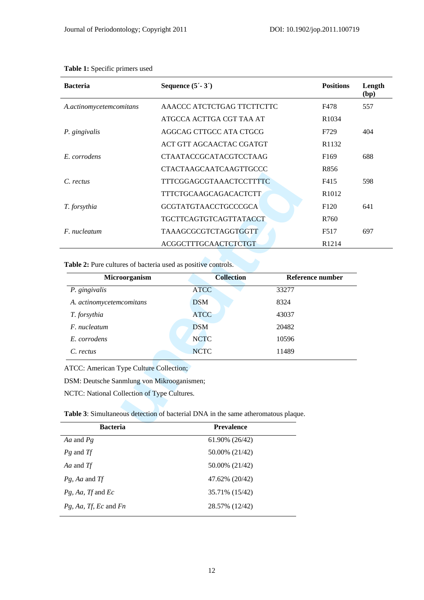| <b>Bacteria</b>         | Sequence $(5 - 3')$           | <b>Positions</b>  | Length<br>(bp) |  |
|-------------------------|-------------------------------|-------------------|----------------|--|
| A.actinomycetemcomitans | AAACCC ATCTCTGAG TTCTTCTTC    | F478              | 557            |  |
|                         | ATGCCA ACTTGA CGT TAA AT      | R <sub>1034</sub> |                |  |
| P. gingivalis           | AGGCAG CTTGCC ATA CTGCG       | F729              | 404            |  |
|                         | ACT GTT AGCAACTAC CGATGT      | R <sub>1132</sub> |                |  |
| E. corrodens            | <b>CTAATACCGCATACGTCCTAAG</b> | F <sub>169</sub>  | 688            |  |
|                         | CTACTAAGCAATCAAGTTGCCC        | R856              |                |  |
| C. rectus               | TTTCGGAGCGTAAACTCCTTTTC       | F415              | 598            |  |
|                         | TTTCTGCAAGCAGACACTCTT         | R <sub>1012</sub> |                |  |
| T. forsythia            | <b>GCGTATGTAACCTGCCCGCA</b>   | F <sub>120</sub>  | 641            |  |
|                         | <b>TGCTTCAGTGTCAGTTATACCT</b> | R760              |                |  |
| F. nucleatum            | TAAAGCGCGTCTAGGTGGTT          | F517              | 697            |  |
|                         | ACGGCTTTGCAACTCTCTGT          | R <sub>1214</sub> |                |  |

**Table 1:** Specific primers used

| C. rectus                                                     | <b>TTTCGGAGCGTAAACTCCTTTTC</b>                                                    | F415              |
|---------------------------------------------------------------|-----------------------------------------------------------------------------------|-------------------|
|                                                               | TTTCTGCAAGCAGACACTCTT                                                             | R1012             |
| T. forsythia                                                  | <b>GCGTATGTAACCTGCCCGCA</b>                                                       | F <sub>120</sub>  |
|                                                               | TGCTTCAGTGTCAGTTATACCT                                                            | R760              |
| F. nucleatum                                                  | TAAAGCGCGTCTAGGTGGTT                                                              | F517              |
|                                                               | ACGGCTTTGCAACTCTCTGT                                                              | R <sub>1214</sub> |
| Table 2: Pure cultures of bacteria used as positive controls. |                                                                                   |                   |
| Microorganism                                                 | <b>Collection</b>                                                                 | Reference number  |
| P. gingivalis                                                 | <b>ATCC</b>                                                                       | 33277             |
| A. actinomycetemcomitans                                      | <b>DSM</b>                                                                        | 8324              |
| T. forsythia                                                  | <b>ATCC</b>                                                                       | 43037             |
| F. nucleatum                                                  | <b>DSM</b>                                                                        | 20482             |
| E. corrodens                                                  | <b>NCTC</b>                                                                       | 10596             |
| C. rectus                                                     | <b>NCTC</b>                                                                       | 11489             |
| ATCC: American Type Culture Collection;                       |                                                                                   |                   |
| DSM: Deutsche Sanmlung von Mikrooganismen;                    |                                                                                   |                   |
| NCTC: National Collection of Type Cultures.                   |                                                                                   |                   |
|                                                               | Table 3: Simultaneous detection of bacterial DNA in the same atheromatous plaque. |                   |
| Racteria                                                      | Prevolence                                                                        |                   |

| <b>Bacteria</b>          | <b>Prevalence</b> |  |  |  |
|--------------------------|-------------------|--|--|--|
| Aa and Pg                | 61.90% (26/42)    |  |  |  |
| <i>Pg</i> and <i>Tf</i>  | 50.00% (21/42)    |  |  |  |
| Aa and Tf                | 50.00% (21/42)    |  |  |  |
| Pg, Aa and Tf            | 47.62% (20/42)    |  |  |  |
| $Pg$ , Aa, Tf and Ec     | 35.71% (15/42)    |  |  |  |
| $Pg$ , Aa, Tf, Ec and Fn | 28.57% (12/42)    |  |  |  |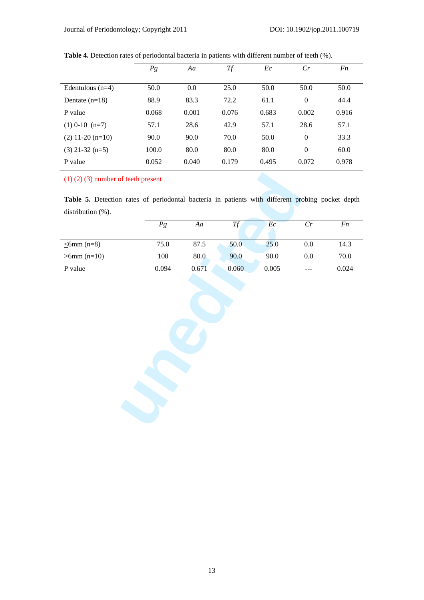|                    | $P_{g}$ | Aa    | <b>Tf</b> | Ec    | Cr             | Fn    |  |
|--------------------|---------|-------|-----------|-------|----------------|-------|--|
|                    |         |       |           |       |                |       |  |
| Edentulous $(n=4)$ | 50.0    | 0.0   | 25.0      | 50.0  | 50.0           | 50.0  |  |
| Dentate $(n=18)$   | 88.9    | 83.3  | 72.2      | 61.1  | $\mathbf{0}$   | 44.4  |  |
| P value            | 0.068   | 0.001 | 0.076     | 0.683 | 0.002          | 0.916 |  |
| $(1)$ 0-10 $(n=7)$ | 57.1    | 28.6  | 42.9      | 57.1  | 28.6           | 57.1  |  |
| $(2)$ 11-20 (n=10) | 90.0    | 90.0  | 70.0      | 50.0  | $\mathbf{0}$   | 33.3  |  |
| $(3)$ 21-32 (n=5)  | 100.0   | 80.0  | 80.0      | 80.0  | $\overline{0}$ | 60.0  |  |
| P value            | 0.052   | 0.040 | 0.179     | 0.495 | 0.072          | 0.978 |  |

**Table 4.** Detection rates of periodontal bacteria in patients with different number of teeth (%).

(1) (2) (3) number of teeth present

**Table 5.** Detection rates of periodontal bacteria in patients with different probing pocket depth distribution  $(\%)$ .

|                  | $\mathfrak{P} \mathfrak{g}$ | $A\boldsymbol{a}$ | Tf    | Ec    | $\mathcal{C}r$ | $\mathfrak{F}n$ |  |  |  |
|------------------|-----------------------------|-------------------|-------|-------|----------------|-----------------|--|--|--|
| $\leq$ 6mm (n=8) | 75.0                        | 87.5              | 50.0  | 25.0  | $0.0\,$        | 14.3            |  |  |  |
| $>6$ mm (n=10)   | $100\,$                     | $80.0\,$          | 90.0  | 90.0  | $0.0\,$        | $70.0\,$        |  |  |  |
| P value          | 0.094                       | 0.671             | 0.060 | 0.005 |                | 0.024           |  |  |  |
|                  |                             |                   |       |       |                |                 |  |  |  |
|                  |                             |                   |       |       |                |                 |  |  |  |